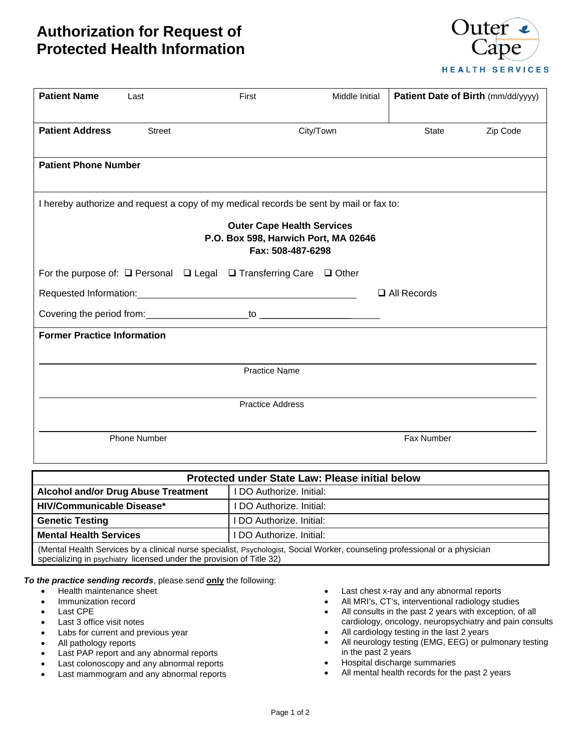## **Authorization for Request of Protected Health Information**



| <b>Patient Name</b>                                                                                                                                                                      | Last                | First                                                                                  | Middle Initial | Patient Date of Birth (mm/dd/yyyy) |          |  |  |  |
|------------------------------------------------------------------------------------------------------------------------------------------------------------------------------------------|---------------------|----------------------------------------------------------------------------------------|----------------|------------------------------------|----------|--|--|--|
| <b>Patient Address</b>                                                                                                                                                                   | <b>Street</b>       |                                                                                        | City/Town      | State                              | Zip Code |  |  |  |
| <b>Patient Phone Number</b>                                                                                                                                                              |                     |                                                                                        |                |                                    |          |  |  |  |
| I hereby authorize and request a copy of my medical records be sent by mail or fax to:<br><b>Outer Cape Health Services</b><br>P.O. Box 598, Harwich Port, MA 02646<br>Fax: 508-487-6298 |                     |                                                                                        |                |                                    |          |  |  |  |
|                                                                                                                                                                                          |                     | For the purpose of: $\Box$ Personal $\Box$ Legal $\Box$ Transferring Care $\Box$ Other |                |                                    |          |  |  |  |
| $\Box$ All Records                                                                                                                                                                       |                     |                                                                                        |                |                                    |          |  |  |  |
|                                                                                                                                                                                          |                     |                                                                                        |                |                                    |          |  |  |  |
| <b>Former Practice Information</b>                                                                                                                                                       |                     |                                                                                        |                |                                    |          |  |  |  |
|                                                                                                                                                                                          |                     | <b>Practice Name</b>                                                                   |                |                                    |          |  |  |  |
|                                                                                                                                                                                          |                     | <b>Practice Address</b>                                                                |                |                                    |          |  |  |  |
|                                                                                                                                                                                          | <b>Phone Number</b> |                                                                                        |                | Fax Number                         |          |  |  |  |

| Protected under State Law: Please initial below                                                                        |                          |  |  |  |  |
|------------------------------------------------------------------------------------------------------------------------|--------------------------|--|--|--|--|
| <b>Alcohol and/or Drug Abuse Treatment</b>                                                                             | I DO Authorize. Initial: |  |  |  |  |
| <b>HIV/Communicable Disease*</b>                                                                                       | I DO Authorize. Initial: |  |  |  |  |
| <b>Genetic Testing</b>                                                                                                 | I DO Authorize. Initial: |  |  |  |  |
| <b>Mental Health Services</b>                                                                                          | DO Authorize. Initial:   |  |  |  |  |
| Mental Health Conviges by a dipipel nurse apopialiet. Developmet Coojal Werker, couponing prefeccional or a physiology |                          |  |  |  |  |

(Mental Health Services by a clinical nurse specialist, Psychologist, Social Worker, counseling professional or a physician specializing in psychiatry licensed under the provision of Title 32)

*To the practice sending records*, please send **only** the following:

- Health maintenance sheet
- Immunization record
- Last CPE
- Last 3 office visit notes
- Labs for current and previous year
- All pathology reports
- Last PAP report and any abnormal reports
- Last colonoscopy and any abnormal reports
- Last mammogram and any abnormal reports
- Last chest x-ray and any abnormal reports
- All MRI's, CT's, interventional radiology studies
- All consults in the past 2 years with exception, of all cardiology, oncology, neuropsychiatry and pain consults
- All cardiology testing in the last 2 years
- All neurology testing (EMG, EEG) or pulmonary testing in the past 2 years
- Hospital discharge summaries
- All mental health records for the past 2 years